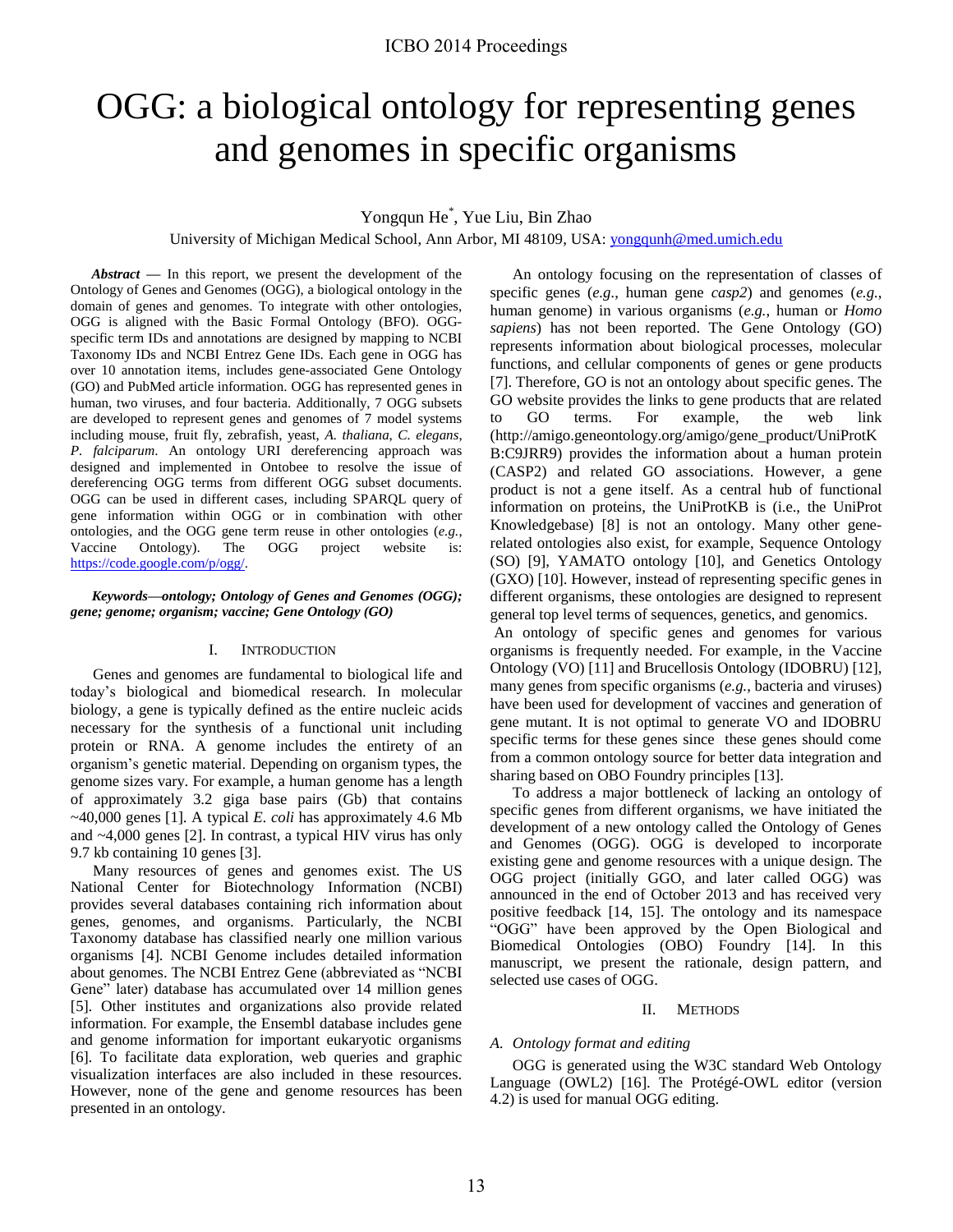# OGG: a biological ontology for representing genes and genomes in specific organisms

# Yongqun He\* , Yue Liu, Bin Zhao

University of Michigan Medical School, Ann Arbor, MI 48109, USA: [yongqunh@med.umich.edu](mailto:yongqunh@med.umich.edu) 

*Abstract* **—** In this report, we present the development of the Ontology of Genes and Genomes (OGG), a biological ontology in the domain of genes and genomes. To integrate with other ontologies, OGG is aligned with the Basic Formal Ontology (BFO). OGGspecific term IDs and annotations are designed by mapping to NCBI Taxonomy IDs and NCBI Entrez Gene IDs. Each gene in OGG has over 10 annotation items, includes gene-associated Gene Ontology (GO) and PubMed article information. OGG has represented genes in human, two viruses, and four bacteria. Additionally, 7 OGG subsets are developed to represent genes and genomes of 7 model systems including mouse, fruit fly, zebrafish, yeast, *A. thaliana*, *C. elegans*, *P. falciparum*. An ontology URI dereferencing approach was designed and implemented in Ontobee to resolve the issue of dereferencing OGG terms from different OGG subset documents. OGG can be used in different cases, including SPARQL query of gene information within OGG or in combination with other ontologies, and the OGG gene term reuse in other ontologies (*e.g.*, Vaccine Ontology). The OGG project website is: [https://code.google.com/p/ogg/.](https://code.google.com/p/ogg/) 

## *Keywords—ontology; Ontology of Genes and Genomes (OGG); gene; genome; organism; vaccine; Gene Ontology (GO)*

## I. INTRODUCTION

Genes and genomes are fundamental to biological life and today's biological and biomedical research. In molecular biology, a gene is typically defined as the entire nucleic acids necessary for the synthesis of a functional unit including protein or RNA. A genome includes the entirety of an organism's genetic material. Depending on organism types, the genome sizes vary. For example, a human genome has a length of approximately 3.2 giga base pairs (Gb) that contains ~40,000 genes [\[1\]](#page-6-0). A typical *E. coli* has approximately 4.6 Mb and ~4,000 genes [\[2\]](#page-6-1). In contrast, a typical HIV virus has only 9.7 kb containing 10 genes [\[3\]](#page-6-2).

Many resources of genes and genomes exist. The US National Center for Biotechnology Information (NCBI) provides several databases containing rich information about genes, genomes, and organisms. Particularly, the NCBI Taxonomy database has classified nearly one million various organisms [\[4\]](#page-6-3). NCBI Genome includes detailed information about genomes. The NCBI Entrez Gene (abbreviated as "NCBI Gene" later) database has accumulated over 14 million genes [\[5\]](#page-6-4). Other institutes and organizations also provide related information. For example, the Ensembl database includes gene and genome information for important eukaryotic organisms [\[6\]](#page-6-5). To facilitate data exploration, web queries and graphic visualization interfaces are also included in these resources. However, none of the gene and genome resources has been presented in an ontology.

An ontology focusing on the representation of classes of specific genes (*e.g.*, human gene *casp2*) and genomes (*e.g.*, human genome) in various organisms (*e.g.*, human or *Homo sapiens*) has not been reported. The Gene Ontology (GO) represents information about biological processes, molecular functions, and cellular components of genes or gene products [\[7\]](#page-6-6). Therefore, GO is not an ontology about specific genes. The GO website provides the links to gene products that are related to GO terms. For example, the web link (http://amigo.geneontology.org/amigo/gene\_product/UniProtK B:C9JRR9) provides the information about a human protein (CASP2) and related GO associations. However, a gene product is not a gene itself. As a central hub of functional information on proteins, the UniProtKB is (i.e., the UniProt Knowledgebase) [\[8\]](#page-6-7) is not an ontology. Many other generelated ontologies also exist, for example, Sequence Ontology (SO) [\[9\]](#page-6-8), YAMATO ontology [\[10\]](#page-6-9), and Genetics Ontology (GXO) [\[10\]](#page-6-9). However, instead of representing specific genes in different organisms, these ontologies are designed to represent general top level terms of sequences, genetics, and genomics.

An ontology of specific genes and genomes for various organisms is frequently needed. For example, in the Vaccine Ontology (VO) [\[11\]](#page-6-10) and Brucellosis Ontology (IDOBRU) [\[12\]](#page-6-11), many genes from specific organisms (*e.g.*, bacteria and viruses) have been used for development of vaccines and generation of gene mutant. It is not optimal to generate VO and IDOBRU specific terms for these genes since these genes should come from a common ontology source for better data integration and sharing based on OBO Foundry principles [\[13\]](#page-6-12).

To address a major bottleneck of lacking an ontology of specific genes from different organisms, we have initiated the development of a new ontology called the Ontology of Genes and Genomes (OGG). OGG is developed to incorporate existing gene and genome resources with a unique design. The OGG project (initially GGO, and later called OGG) was announced in the end of October 2013 and has received very positive feedback [\[14,](#page-6-13) [15\]](#page-6-14). The ontology and its namespace "OGG" have been approved by the Open Biological and Biomedical Ontologies (OBO) Foundry [\[14\]](#page-6-13). In this manuscript, we present the rationale, design pattern, and selected use cases of OGG.

#### II. METHODS

## *A. Ontology format and editing*

OGG is generated using the W3C standard Web Ontology Language (OWL2) [\[16\]](#page-6-15). The Protégé-OWL editor (version 4.2) is used for manual OGG editing.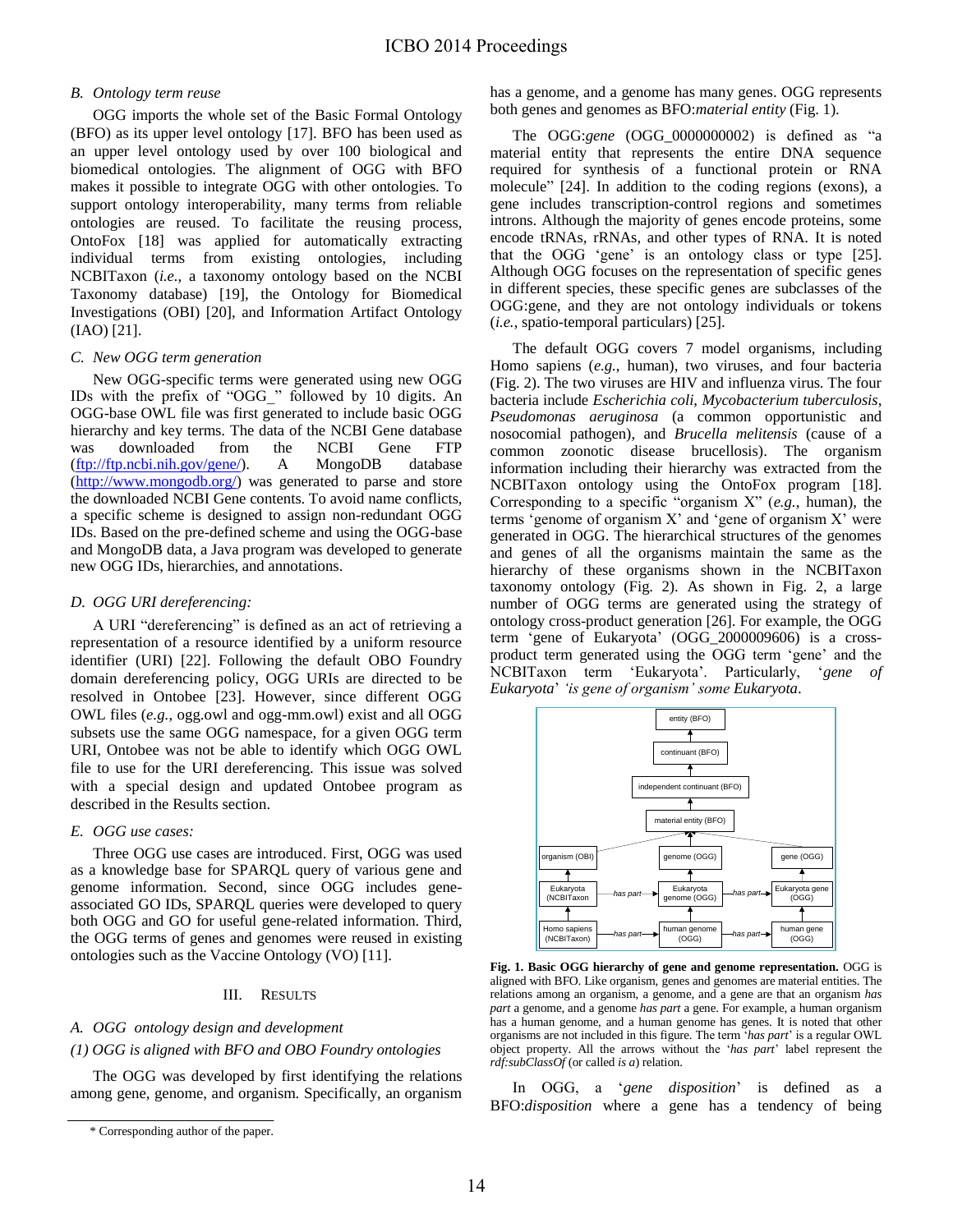# *B. Ontology term reuse*

OGG imports the whole set of the Basic Formal Ontology (BFO) as its upper level ontology [\[17\]](#page-6-16). BFO has been used as an upper level ontology used by over 100 biological and biomedical ontologies. The alignment of OGG with BFO makes it possible to integrate OGG with other ontologies. To support ontology interoperability, many terms from reliable ontologies are reused. To facilitate the reusing process, OntoFox [\[18\]](#page-6-17) was applied for automatically extracting individual terms from existing ontologies, including NCBITaxon (*i.e.*, a taxonomy ontology based on the NCBI Taxonomy database) [\[19\]](#page-6-18), the Ontology for Biomedical Investigations (OBI) [\[20\]](#page-6-19), and Information Artifact Ontology (IAO) [\[21\]](#page-6-20).

# *C. New OGG term generation*

New OGG-specific terms were generated using new OGG IDs with the prefix of "OGG\_" followed by 10 digits. An OGG-base OWL file was first generated to include basic OGG hierarchy and key terms. The data of the NCBI Gene database was downloaded from the NCBI Gene FTP [\(ftp://ftp.ncbi.nih.gov/gene/\)](ftp://ftp.ncbi.nih.gov/gene/). A MongoDB database [\(http://www.mongodb.org/\)](http://www.mongodb.org/) was generated to parse and store the downloaded NCBI Gene contents. To avoid name conflicts, a specific scheme is designed to assign non-redundant OGG IDs. Based on the pre-defined scheme and using the OGG-base and MongoDB data, a Java program was developed to generate new OGG IDs, hierarchies, and annotations.

# *D. OGG URI dereferencing:*

A URI "dereferencing" is defined as an act of retrieving a representation of a resource identified by a uniform resource identifier (URI) [\[22\]](#page-6-21). Following the default OBO Foundry domain dereferencing policy, OGG URIs are directed to be resolved in Ontobee [\[23\]](#page-6-22). However, since different OGG OWL files (*e.g.*, ogg.owl and ogg-mm.owl) exist and all OGG subsets use the same OGG namespace, for a given OGG term URI, Ontobee was not be able to identify which OGG OWL file to use for the URI dereferencing. This issue was solved with a special design and updated Ontobee program as described in the Results section.

# *E. OGG use cases:*

Three OGG use cases are introduced. First, OGG was used as a knowledge base for SPARQL query of various gene and genome information. Second, since OGG includes geneassociated GO IDs, SPARQL queries were developed to query both OGG and GO for useful gene-related information. Third, the OGG terms of genes and genomes were reused in existing ontologies such as the Vaccine Ontology (VO) [\[11\]](#page-6-10).

# III. RESULTS

# *A. OGG ontology design and development*

# *(1) OGG is aligned with BFO and OBO Foundry ontologies*

The OGG was developed by first identifying the relations among gene, genome, and organism. Specifically, an organism has a genome, and a genome has many genes. OGG represents both genes and genomes as BFO:*material entity* (Fig. 1).

The OGG:*gene* (OGG\_0000000002) is defined as "a material entity that represents the entire DNA sequence required for synthesis of a functional protein or RNA molecule" [\[24\]](#page-7-0). In addition to the coding regions (exons), a gene includes transcription-control regions and sometimes introns. Although the majority of genes encode proteins, some encode tRNAs, rRNAs, and other types of RNA. It is noted that the OGG 'gene' is an ontology class or type [\[25\]](#page-7-1). Although OGG focuses on the representation of specific genes in different species, these specific genes are subclasses of the OGG:gene, and they are not ontology individuals or tokens (*i.e.*, spatio-temporal particulars) [\[25\]](#page-7-1).

The default OGG covers 7 model organisms, including Homo sapiens (*e.g.*, human), two viruses, and four bacteria (Fig. 2). The two viruses are HIV and influenza virus. The four bacteria include *Escherichia coli*, *Mycobacterium tuberculosis*, *Pseudomonas aeruginosa* (a common opportunistic and nosocomial pathogen), and *Brucella melitensis* (cause of a common zoonotic disease brucellosis). The organism information including their hierarchy was extracted from the NCBITaxon ontology using the OntoFox program [\[18\]](#page-6-17). Corresponding to a specific "organism X" (*e.g.*, human), the terms 'genome of organism X' and 'gene of organism X' were generated in OGG. The hierarchical structures of the genomes and genes of all the organisms maintain the same as the hierarchy of these organisms shown in the NCBITaxon taxonomy ontology (Fig. 2). As shown in Fig. 2, a large number of OGG terms are generated using the strategy of ontology cross-product generation [\[26\]](#page-7-2). For example, the OGG term 'gene of Eukaryota' (OGG\_2000009606) is a crossproduct term generated using the OGG term 'gene' and the NCBITaxon term 'Eukaryota'. Particularly, '*gene of Eukaryota*' *'is gene of organism' some Eukaryota*.



**Fig. 1. Basic OGG hierarchy of gene and genome representation.** OGG is aligned with BFO. Like organism, genes and genomes are material entities. The relations among an organism, a genome, and a gene are that an organism *has part* a genome, and a genome *has part* a gene. For example, a human organism has a human genome, and a human genome has genes. It is noted that other organisms are not included in this figure. The term '*has part*' is a regular OWL object property. All the arrows without the '*has part*' label represent the *rdf:subClassOf* (or called *is a*) relation.

In OGG, a '*gene disposition*' is defined as a BFO:*disposition* where a gene has a tendency of being

<sup>\*</sup> Corresponding author of the paper.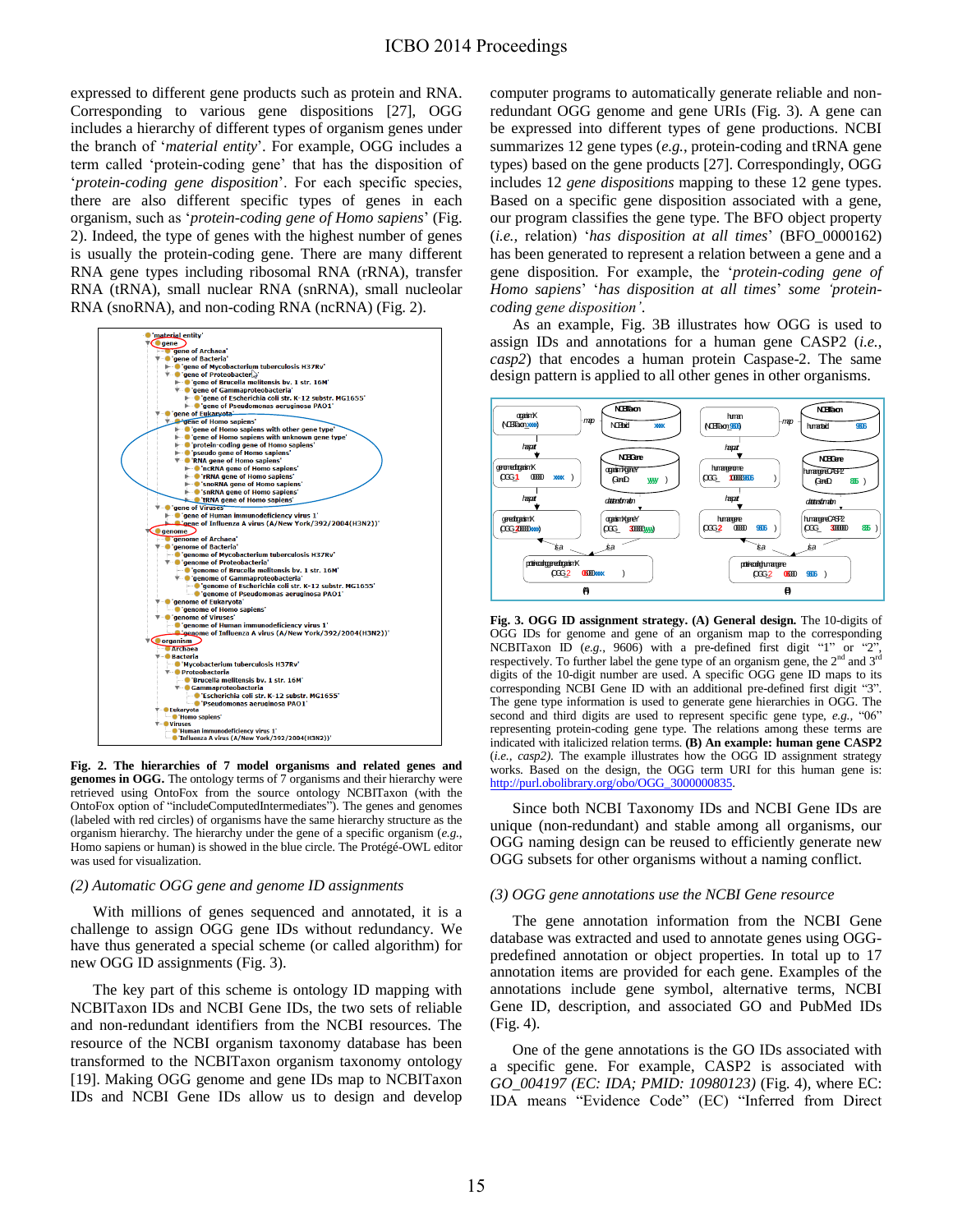expressed to different gene products such as protein and RNA. Corresponding to various gene dispositions [\[27\]](#page-7-3), OGG includes a hierarchy of different types of organism genes under the branch of '*material entity*'. For example, OGG includes a term called 'protein-coding gene' that has the disposition of '*protein-coding gene disposition*'. For each specific species, there are also different specific types of genes in each organism, such as '*protein-coding gene of Homo sapiens*' (Fig. 2). Indeed, the type of genes with the highest number of genes is usually the protein-coding gene. There are many different RNA gene types including ribosomal RNA (rRNA), transfer RNA (tRNA), small nuclear RNA (snRNA), small nucleolar RNA (snoRNA), and non-coding RNA (ncRNA) (Fig. 2).



**Fig. 2. The hierarchies of 7 model organisms and related genes and genomes in OGG.** The ontology terms of 7 organisms and their hierarchy were retrieved using OntoFox from the source ontology NCBITaxon (with the OntoFox option of "includeComputedIntermediates"). The genes and genomes (labeled with red circles) of organisms have the same hierarchy structure as the organism hierarchy. The hierarchy under the gene of a specific organism (*e.g.*, Homo sapiens or human) is showed in the blue circle. The Prot  $\circledast$  é-OWL editor was used for visualization.

#### *(2) Automatic OGG gene and genome ID assignments*

With millions of genes sequenced and annotated, it is a challenge to assign OGG gene IDs without redundancy. We have thus generated a special scheme (or called algorithm) for new OGG ID assignments (Fig. 3).

 The key part of this scheme is ontology ID mapping with NCBITaxon IDs and NCBI Gene IDs, the two sets of reliable and non-redundant identifiers from the NCBI resources. The resource of the NCBI organism taxonomy database has been transformed to the NCBITaxon organism taxonomy ontology [\[19\]](#page-6-18). Making OGG genome and gene IDs map to NCBITaxon IDs and NCBI Gene IDs allow us to design and develop computer programs to automatically generate reliable and nonredundant OGG genome and gene URIs (Fig. 3). A gene can be expressed into different types of gene productions. NCBI summarizes 12 gene types (*e.g.*, protein-coding and tRNA gene types) based on the gene products [\[27\]](#page-7-3). Correspondingly, OGG includes 12 *gene dispositions* mapping to these 12 gene types. Based on a specific gene disposition associated with a gene, our program classifies the gene type. The BFO object property (*i.e.,* relation) '*has disposition at all times*' (BFO\_0000162) has been generated to represent a relation between a gene and a gene disposition. For example, the '*protein-coding gene of Homo sapiens*' '*has disposition at all times*' *some 'proteincoding gene disposition'*.

As an example, Fig. 3B illustrates how OGG is used to assign IDs and annotations for a human gene CASP2 (*i.e.*, *casp2*) that encodes a human protein Caspase-2. The same design pattern is applied to all other genes in other organisms.



**Fig. 3. OGG ID assignment strategy. (A) General design.** The 10-digits of OGG IDs for genome and gene of an organism map to the corresponding NCBITaxon ID (*e.g.*, 9606) with a pre-defined first digit "1" or "2", respectively. To further label the gene type of an organism gene, the  $2<sup>nd</sup>$  and  $3<sup>rd</sup>$ digits of the 10-digit number are used. A specific OGG gene ID maps to its corresponding NCBI Gene ID with an additional pre-defined first digit "3". The gene type information is used to generate gene hierarchies in OGG. The second and third digits are used to represent specific gene type, *e.g.,* "06" representing protein-coding gene type. The relations among these terms are indicated with italicized relation terms. **(B) An example: human gene CASP2** (*i.e.*, *casp2)*. The example illustrates how the OGG ID assignment strategy works. Based on the design, the OGG term URI for this human gene is: [http://purl.obolibrary.org/obo/OGG\\_3000000835.](http://purl.obolibrary.org/obo/OGG_3000000835) 

 Since both NCBI Taxonomy IDs and NCBI Gene IDs are unique (non-redundant) and stable among all organisms, our OGG naming design can be reused to efficiently generate new OGG subsets for other organisms without a naming conflict.

#### *(3) OGG gene annotations use the NCBI Gene resource*

 The gene annotation information from the NCBI Gene database was extracted and used to annotate genes using OGGpredefined annotation or object properties. In total up to 17 annotation items are provided for each gene. Examples of the annotations include gene symbol, alternative terms, NCBI Gene ID, description, and associated GO and PubMed IDs (Fig. 4).

 One of the gene annotations is the GO IDs associated with a specific gene. For example, CASP2 is associated with *GO\_004197 (EC: IDA; PMID: 10980123)* (Fig. 4), where EC: IDA means "Evidence Code" (EC) "Inferred from Direct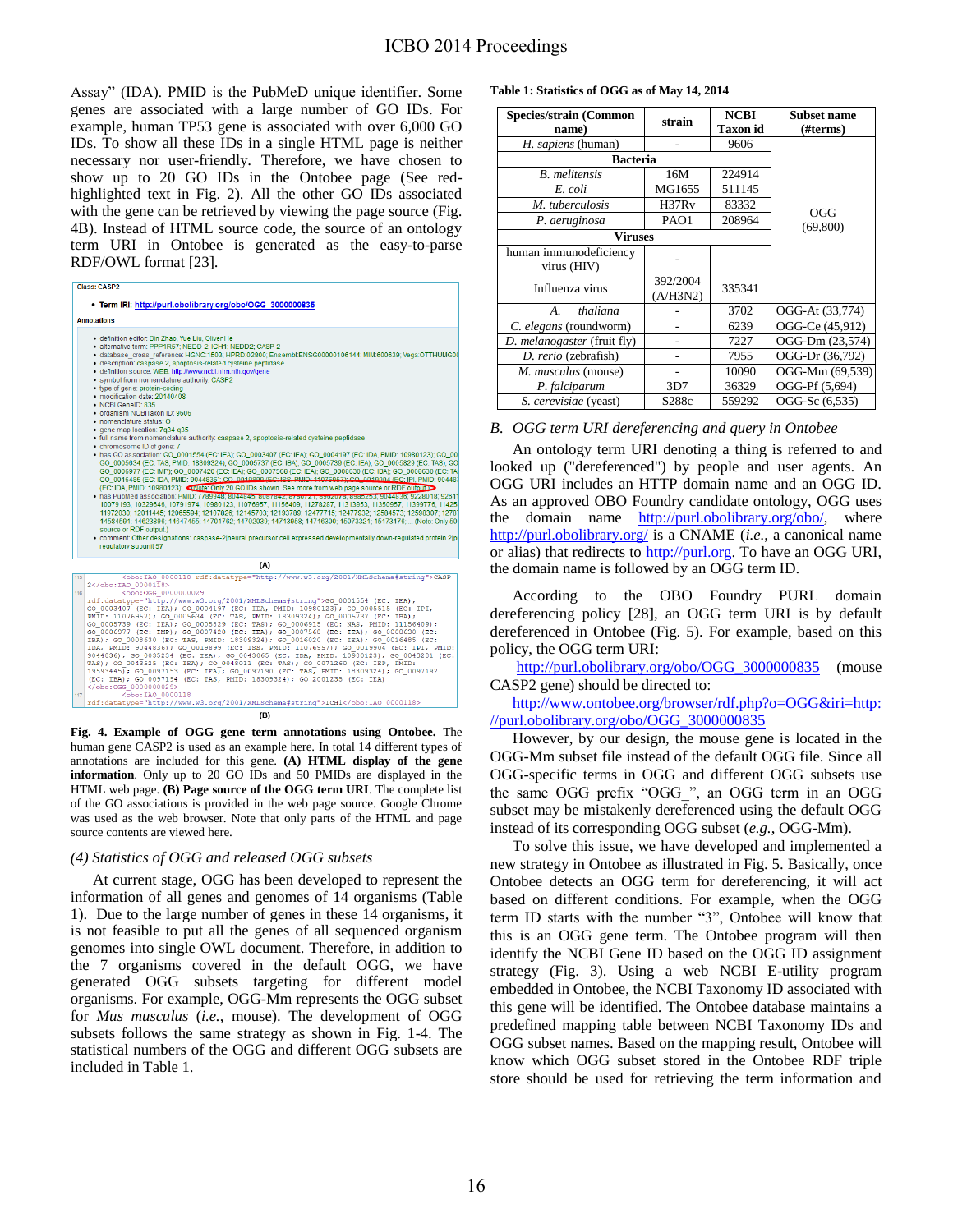Assay" (IDA). PMID is the PubMeD unique identifier. Some genes are associated with a large number of GO IDs. For example, human TP53 gene is associated with over 6,000 GO IDs. To show all these IDs in a single HTML page is neither necessary nor user-friendly. Therefore, we have chosen to show up to 20 GO IDs in the Ontobee page (See redhighlighted text in Fig. 2). All the other GO IDs associated with the gene can be retrieved by viewing the page source (Fig. 4B). Instead of HTML source code, the source of an ontology term URI in Ontobee is generated as the easy-to-parse RDF/OWL format [\[23\]](#page-6-22).

| <b>Class: CASP2</b><br>. Term IRI: http://purl.obolibrary.org/obo/OGG 3000000835<br><b>Annotations</b> |                                                                                                                                                                  |  |  |  |  |     |                                                                                                                                                                                                                                                                                                                                                                                                                                                                                                                                                                                                                                                                                                                                                                                                                                                                                                                                                                                                                                                                                                                                                                                                                                                                                                                                                                                                                                                                                                                                                                                                                                                                                                                                                                                                                                                                                                                                      |
|--------------------------------------------------------------------------------------------------------|------------------------------------------------------------------------------------------------------------------------------------------------------------------|--|--|--|--|-----|--------------------------------------------------------------------------------------------------------------------------------------------------------------------------------------------------------------------------------------------------------------------------------------------------------------------------------------------------------------------------------------------------------------------------------------------------------------------------------------------------------------------------------------------------------------------------------------------------------------------------------------------------------------------------------------------------------------------------------------------------------------------------------------------------------------------------------------------------------------------------------------------------------------------------------------------------------------------------------------------------------------------------------------------------------------------------------------------------------------------------------------------------------------------------------------------------------------------------------------------------------------------------------------------------------------------------------------------------------------------------------------------------------------------------------------------------------------------------------------------------------------------------------------------------------------------------------------------------------------------------------------------------------------------------------------------------------------------------------------------------------------------------------------------------------------------------------------------------------------------------------------------------------------------------------------|
|                                                                                                        |                                                                                                                                                                  |  |  |  |  |     | · definition editor: Bin Zhao, Yue Liu, Oliver He<br>· alternative term: PPP1R57: NEDD-2: ICH1: NEDD2: CASP-2<br>· database cross reference: HGNC:1503: HPRD:02800: Ensembl:ENSG00000106144: MIM:600639: Vega:OTTHUMG00<br>· description: caspase 2, apoptosis-related cysteine peptidase<br>· definition source: WEB: http://www.ncbi.nlm.nih.gov/gene<br>· symbol from nomenclature authority: CASP2<br>. type of gene: protein-coding<br>· modification date: 20140408<br>· NCBI GeneID: 835<br>· organism NCBITaxon ID: 9606<br>· nomenclature status: O<br>· gene map location: 7g34-g35<br>· full name from nomenclature authority: caspase 2, apoptosis-related cysteine peptidase<br>· chromosome ID of gene: 7<br>. has GO association; GO 0001554 (EC; IEA); GO 0003407 (EC; IEA); GO 0004197 (EC; IDA, PMID; 10980123); GO 00<br>GO 0005634 (EC: TAS, PMID: 18309324); GO 0005737 (EC: IBA); GO 0005739 (EC: IEA); GO 0005829 (EC: TAS); GO<br>GO 0006977 (EC: IMP): GO 0007420 (EC: IEA): GO 0007568 (EC: IEA): GO 0008630 (EC: IBA): GO 0008630 (EC: TA\$<br>GO 0016485 (EC: IDA, PMID: 9044836); GO 0019899 (EC: ISS, PMID: 11076957); CO 0019904 (EC: IPI, PMID: 904483<br>(EC: IDA, PMID: 10980123); santote: Only 20 GO IDs shown. See more from web page source or RDF output<br>• has PubMed association: PMID: 7789948, 8044849, 8087642, 6760721, 8902076, 8989293, 9044836, 9228018: 92611<br>10079193; 10329646; 10791974; 10980123; 11076957; 11156409; 11278287; 11313953; 11350957; 11399776; 114258<br>11972030: 12011445: 12065594: 12107826: 12145703: 12193789: 12477715: 12477932: 12584573: 12598307: 12787<br>14584591: 14623896: 14647455: 14701762: 14702039: 14713958: 14716300: 15073321: 15173176:  (Note: Only 50)<br>source or RDF output.)<br>. comment: Other designations: caspase-2lneural precursor cell expressed developmentally down-regulated protein 2lpr<br>regulatory subunit 57 |
|                                                                                                        |                                                                                                                                                                  |  |  |  |  | (A) |                                                                                                                                                                                                                                                                                                                                                                                                                                                                                                                                                                                                                                                                                                                                                                                                                                                                                                                                                                                                                                                                                                                                                                                                                                                                                                                                                                                                                                                                                                                                                                                                                                                                                                                                                                                                                                                                                                                                      |
| 115                                                                                                    | <obo:iao 0000118="" rdf:datatype="http://www.w3.org/2001/XMLSchema#string">CASP-<br/>2</obo:iao>                                                                 |  |  |  |  |     |                                                                                                                                                                                                                                                                                                                                                                                                                                                                                                                                                                                                                                                                                                                                                                                                                                                                                                                                                                                                                                                                                                                                                                                                                                                                                                                                                                                                                                                                                                                                                                                                                                                                                                                                                                                                                                                                                                                                      |
| 116                                                                                                    | <obo:0gg 0000000029<br="">rdf:datatvpe="http://www.w3.org/2001/XMLSchema#string"&gt;GO 0001554 (EC: IEA);</obo:0gg>                                              |  |  |  |  |     |                                                                                                                                                                                                                                                                                                                                                                                                                                                                                                                                                                                                                                                                                                                                                                                                                                                                                                                                                                                                                                                                                                                                                                                                                                                                                                                                                                                                                                                                                                                                                                                                                                                                                                                                                                                                                                                                                                                                      |
|                                                                                                        | GO 0003407 (EC: IEA); GO 0004197 (EC: IDA, PMID: 10980123); GO 0005515 (EC: IPI,<br>PMID: 11076957); GO 0005634 (EC: TAS, PMID: 18309324); GO 0005737 (EC: IBA); |  |  |  |  |     |                                                                                                                                                                                                                                                                                                                                                                                                                                                                                                                                                                                                                                                                                                                                                                                                                                                                                                                                                                                                                                                                                                                                                                                                                                                                                                                                                                                                                                                                                                                                                                                                                                                                                                                                                                                                                                                                                                                                      |

PMID: 11076957), GO0005634 (EC: TRA), PMID: 18309324), GO0005737 (EC: TRA), GO005737 (EC: TRA), GO005639 (EC: TRA), GO000630 (EC: TRA), GO000630 (EC: TRA), GO006630 (EC: TRA), GO006630 (EC: TRA), GO006630 (EC: TRA), GO0066 bo:IAO\_0000118 rdf:datatype="http://www.w3.org/2001/XMLSchema#string">ICH1</obo:IAO\_0000118>

**(B)**

**Fig. 4. Example of OGG gene term annotations using Ontobee.** The human gene CASP2 is used as an example here. In total 14 different types of annotations are included for this gene. **(A) HTML display of the gene information**. Only up to 20 GO IDs and 50 PMIDs are displayed in the HTML web page. **(B) Page source of the OGG term URI**. The complete list of the GO associations is provided in the web page source. Google Chrome was used as the web browser. Note that only parts of the HTML and page source contents are viewed here.

## *(4) Statistics of OGG and released OGG subsets*

At current stage, OGG has been developed to represent the information of all genes and genomes of 14 organisms (Table 1). Due to the large number of genes in these 14 organisms, it is not feasible to put all the genes of all sequenced organism genomes into single OWL document. Therefore, in addition to the 7 organisms covered in the default OGG, we have generated OGG subsets targeting for different model organisms. For example, OGG-Mm represents the OGG subset for *Mus musculus* (*i.e.*, mouse). The development of OGG subsets follows the same strategy as shown in Fig. 1-4. The statistical numbers of the OGG and different OGG subsets are included in Table 1.

#### **Table 1: Statistics of OGG as of May 14, 2014**

| <b>Species/strain (Common</b><br>name) | strain               | <b>NCBI</b><br><b>Taxon id</b> | <b>Subset name</b><br>(#terms) |  |
|----------------------------------------|----------------------|--------------------------------|--------------------------------|--|
| <i>H. sapiens</i> (human)              |                      | 9606                           |                                |  |
| <b>Bacteria</b>                        |                      |                                |                                |  |
| <b>B.</b> melitensis                   | 16M                  | 224914                         |                                |  |
| E. coli                                | MG1655               | 511145                         |                                |  |
| M. tuberculosis                        | H37R <sub>v</sub>    | 83332                          | OGG                            |  |
| P. aeruginosa                          | PAO1                 | 208964                         | (69, 800)                      |  |
| Viruses                                |                      |                                |                                |  |
| human immunodeficiency<br>virus (HIV)  |                      |                                |                                |  |
| Influenza virus                        | 392/2004<br>(A/H3N2) | 335341                         |                                |  |
| thaliana<br>A.                         |                      | 3702                           | OGG-At (33,774)                |  |
| C. elegans (roundworm)                 |                      | 6239                           | OGG-Ce (45,912)                |  |
| D. melanogaster (fruit fly)            |                      | 7227                           | OGG-Dm (23,574)                |  |
| D. rerio (zebrafish)                   |                      | 7955                           | OGG-Dr (36,792)                |  |
| M. musculus (mouse)                    |                      | 10090                          | OGG-Mm (69,539)                |  |
| P. falciparum                          | 3D7                  | 36329                          | OGG-Pf (5,694)                 |  |
| S. cerevisiae (yeast)                  | S288c                | 559292                         | OGG-Sc (6,535)                 |  |

## *B. OGG term URI dereferencing and query in Ontobee*

An ontology term URI denoting a thing is referred to and looked up ("dereferenced") by people and user agents. An OGG URI includes an HTTP domain name and an OGG ID. As an approved OBO Foundry candidate ontology, OGG uses the domain name [http://purl.obolibrary.org/obo/,](http://purl.obolibrary.org/obo/) where <http://purl.obolibrary.org/>is a CNAME (*i.e.*, a canonical name or alias) that redirects to [http://purl.org.](http://purl.org/) To have an OGG URI, the domain name is followed by an OGG term ID.

 According to the OBO Foundry PURL domain dereferencing policy [\[28\]](#page-7-4), an OGG term URI is by default dereferenced in Ontobee (Fig. 5). For example, based on this policy, the OGG term URI:

[http://purl.obolibrary.org/obo/OGG\\_3000000835](http://purl.obolibrary.org/obo/OGG_3000000835) (mouse CASP2 gene) should be directed to:

[http://www.ontobee.org/browser/rdf.php?o=OGG&iri=http:](http://www.ontobee.org/browser/rdf.php?o=OGG&iri=http://purl.obolibrary.org/obo/OGG_3000000835) [//purl.obolibrary.org/obo/OGG\\_3000000835](http://www.ontobee.org/browser/rdf.php?o=OGG&iri=http://purl.obolibrary.org/obo/OGG_3000000835) 

However, by our design, the mouse gene is located in the OGG-Mm subset file instead of the default OGG file. Since all OGG-specific terms in OGG and different OGG subsets use the same OGG prefix "OGG\_", an OGG term in an OGG subset may be mistakenly dereferenced using the default OGG instead of its corresponding OGG subset (*e.g.*, OGG-Mm).

To solve this issue, we have developed and implemented a new strategy in Ontobee as illustrated in Fig. 5. Basically, once Ontobee detects an OGG term for dereferencing, it will act based on different conditions. For example, when the OGG term ID starts with the number "3", Ontobee will know that this is an OGG gene term. The Ontobee program will then identify the NCBI Gene ID based on the OGG ID assignment strategy (Fig. 3). Using a web NCBI E-utility program embedded in Ontobee, the NCBI Taxonomy ID associated with this gene will be identified. The Ontobee database maintains a predefined mapping table between NCBI Taxonomy IDs and OGG subset names. Based on the mapping result, Ontobee will know which OGG subset stored in the Ontobee RDF triple store should be used for retrieving the term information and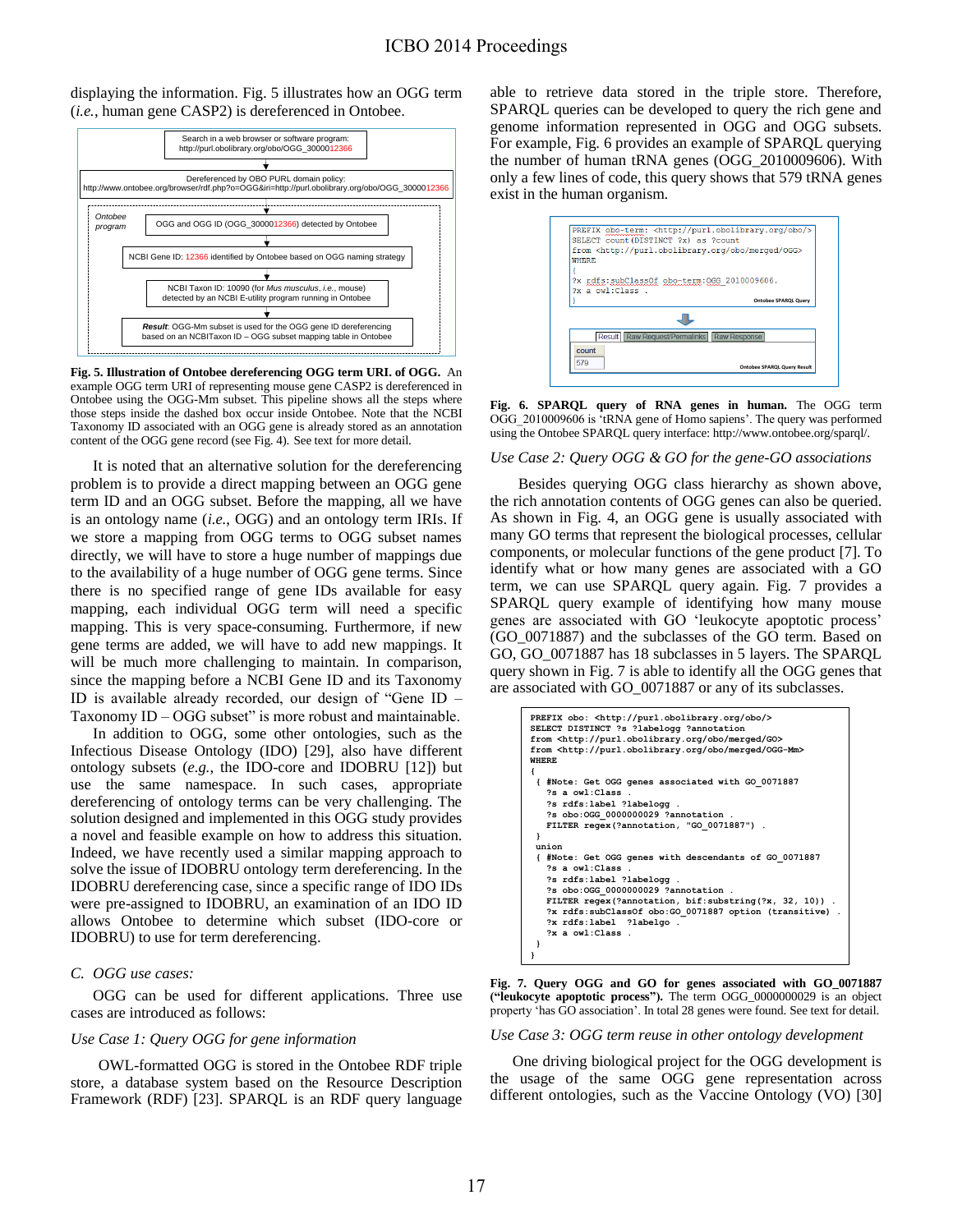displaying the information. Fig. 5 illustrates how an OGG term (*i.e.*, human gene CASP2) is dereferenced in Ontobee.



**Fig. 5. Illustration of Ontobee dereferencing OGG term URI. of OGG.** An example OGG term URI of representing mouse gene CASP2 is dereferenced in Ontobee using the OGG-Mm subset. This pipeline shows all the steps where those steps inside the dashed box occur inside Ontobee. Note that the NCBI Taxonomy ID associated with an OGG gene is already stored as an annotation content of the OGG gene record (see Fig. 4). See text for more detail.

It is noted that an alternative solution for the dereferencing problem is to provide a direct mapping between an OGG gene term ID and an OGG subset. Before the mapping, all we have is an ontology name (*i.e.*, OGG) and an ontology term IRIs. If we store a mapping from OGG terms to OGG subset names directly, we will have to store a huge number of mappings due to the availability of a huge number of OGG gene terms. Since there is no specified range of gene IDs available for easy mapping, each individual OGG term will need a specific mapping. This is very space-consuming. Furthermore, if new gene terms are added, we will have to add new mappings. It will be much more challenging to maintain. In comparison, since the mapping before a NCBI Gene ID and its Taxonomy ID is available already recorded, our design of "Gene ID – Taxonomy ID – OGG subset" is more robust and maintainable.

In addition to OGG, some other ontologies, such as the Infectious Disease Ontology (IDO) [\[29\]](#page-7-5), also have different ontology subsets (*e.g.*, the IDO-core and IDOBRU [\[12\]](#page-6-11)) but use the same namespace. In such cases, appropriate dereferencing of ontology terms can be very challenging. The solution designed and implemented in this OGG study provides a novel and feasible example on how to address this situation. Indeed, we have recently used a similar mapping approach to solve the issue of IDOBRU ontology term dereferencing. In the IDOBRU dereferencing case, since a specific range of IDO IDs were pre-assigned to IDOBRU, an examination of an IDO ID allows Ontobee to determine which subset (IDO-core or IDOBRU) to use for term dereferencing.

## *C. OGG use cases:*

OGG can be used for different applications. Three use cases are introduced as follows:

#### *Use Case 1: Query OGG for gene information*

OWL-formatted OGG is stored in the Ontobee RDF triple store, a database system based on the Resource Description Framework (RDF) [\[23\]](#page-6-22). SPARQL is an RDF query language able to retrieve data stored in the triple store. Therefore, SPARQL queries can be developed to query the rich gene and genome information represented in OGG and OGG subsets. For example, Fig. 6 provides an example of SPARQL querying the number of human tRNA genes (OGG\_2010009606). With only a few lines of code, this query shows that 579 tRNA genes exist in the human organism.



**Fig. 6. SPARQL query of RNA genes in human.** The OGG term OGG 2010009606 is 'tRNA gene of Homo sapiens'. The query was performed using the Ontobee SPARQL query interface: http://www.ontobee.org/sparql/.

#### *Use Case 2: Query OGG & GO for the gene-GO associations*

Besides querying OGG class hierarchy as shown above, the rich annotation contents of OGG genes can also be queried. As shown in Fig. 4, an OGG gene is usually associated with many GO terms that represent the biological processes, cellular components, or molecular functions of the gene product [\[7\]](#page-6-6). To identify what or how many genes are associated with a GO term, we can use SPARQL query again. Fig. 7 provides a SPARQL query example of identifying how many mouse genes are associated with GO 'leukocyte apoptotic process' (GO\_0071887) and the subclasses of the GO term. Based on GO, GO\_0071887 has 18 subclasses in 5 layers. The SPARQL query shown in Fig. 7 is able to identify all the OGG genes that are associated with GO\_0071887 or any of its subclasses.



**Fig. 7. Query OGG and GO for genes associated with GO\_0071887 ("leukocyte apoptotic process").** The term OGG\_0000000029 is an object property 'has GO association'. In total 28 genes were found. See text for detail.

*Use Case 3: OGG term reuse in other ontology development* 

One driving biological project for the OGG development is the usage of the same OGG gene representation across different ontologies, such as the Vaccine Ontology (VO) [\[30\]](#page-7-6)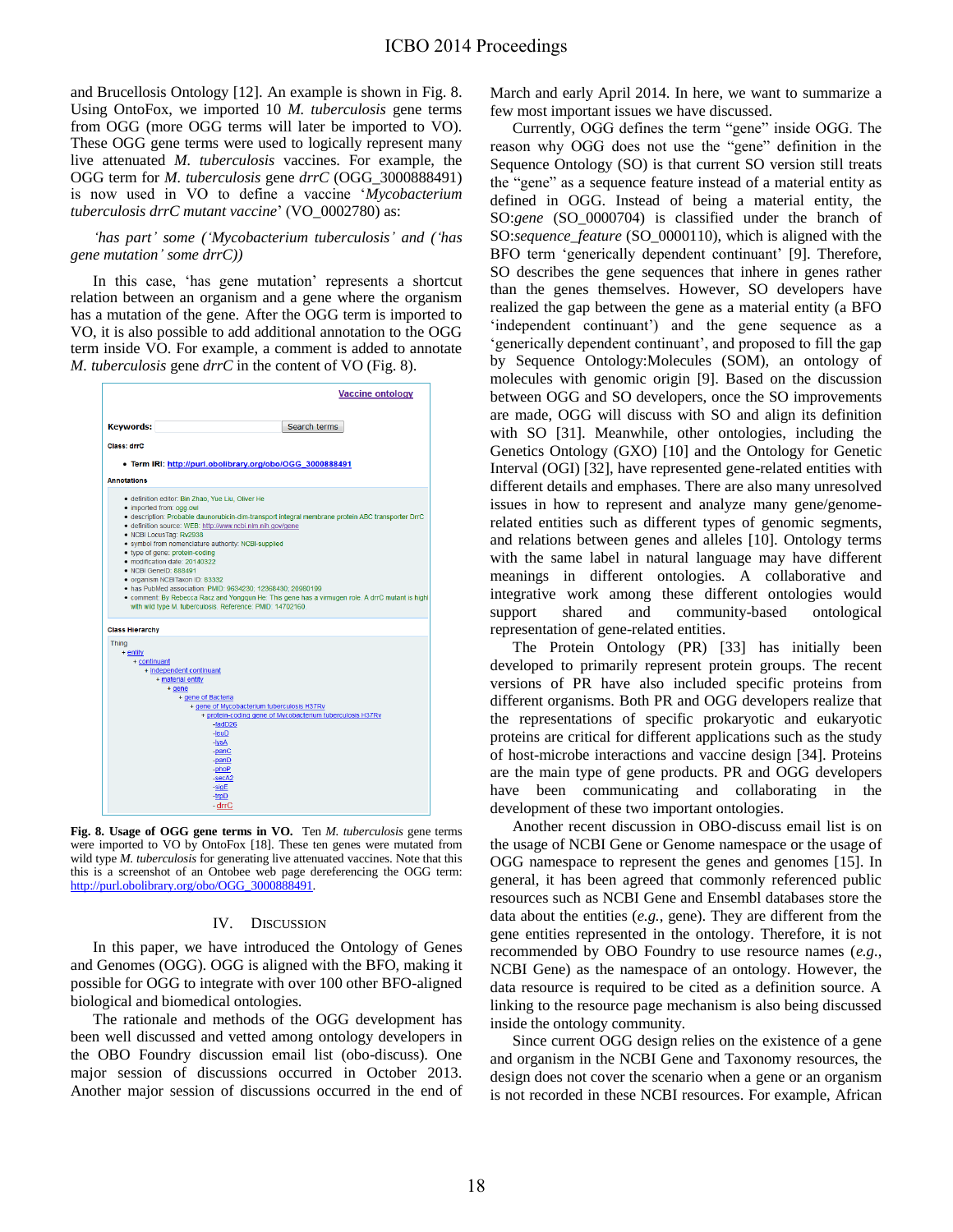and Brucellosis Ontology [\[12\]](#page-6-11). An example is shown in Fig. 8. Using OntoFox, we imported 10 *M. tuberculosis* gene terms from OGG (more OGG terms will later be imported to VO). These OGG gene terms were used to logically represent many live attenuated *M. tuberculosis* vaccines. For example, the OGG term for *M. tuberculosis* gene *drrC* (OGG\_3000888491) is now used in VO to define a vaccine '*Mycobacterium tuberculosis drrC mutant vaccine*' (VO\_0002780) as:

*'has part' some ('Mycobacterium tuberculosis' and ('has gene mutation' some drrC))* 

In this case, 'has gene mutation' represents a shortcut relation between an organism and a gene where the organism has a mutation of the gene. After the OGG term is imported to VO, it is also possible to add additional annotation to the OGG term inside VO. For example, a comment is added to annotate *M. tuberculosis* gene *drrC* in the content of VO (Fig. 8).



**Fig. 8. Usage of OGG gene terms in VO.** Ten *M. tuberculosis* gene terms were imported to VO by OntoFox [\[18\]](#page-6-17). These ten genes were mutated from wild type *M. tuberculosis* for generating live attenuated vaccines. Note that this this is a screenshot of an Ontobee web page dereferencing the OGG term: http://purl.obolibrary.org/obo/OGG\_30008

### IV. DISCUSSION

In this paper, we have introduced the Ontology of Genes and Genomes (OGG). OGG is aligned with the BFO, making it possible for OGG to integrate with over 100 other BFO-aligned biological and biomedical ontologies.

The rationale and methods of the OGG development has been well discussed and vetted among ontology developers in the OBO Foundry discussion email list (obo-discuss). One major session of discussions occurred in October 2013. Another major session of discussions occurred in the end of March and early April 2014. In here, we want to summarize a few most important issues we have discussed.

Currently, OGG defines the term "gene" inside OGG. The reason why OGG does not use the "gene" definition in the Sequence Ontology (SO) is that current SO version still treats the "gene" as a sequence feature instead of a material entity as defined in OGG. Instead of being a material entity, the SO:*gene* (SO\_0000704) is classified under the branch of SO:*sequence\_feature* (SO\_0000110), which is aligned with the BFO term 'generically dependent continuant' [\[9\]](#page-6-8). Therefore, SO describes the gene sequences that inhere in genes rather than the genes themselves. However, SO developers have realized the gap between the gene as a material entity (a BFO 'independent continuant') and the gene sequence as a 'generically dependent continuant', and proposed to fill the gap by Sequence Ontology:Molecules (SOM), an ontology of molecules with genomic origin [\[9\]](#page-6-8). Based on the discussion between OGG and SO developers, once the SO improvements are made, OGG will discuss with SO and align its definition with SO [\[31\]](#page-7-7). Meanwhile, other ontologies, including the Genetics Ontology (GXO) [\[10\]](#page-6-9) and the Ontology for Genetic Interval (OGI) [\[32\]](#page-7-8), have represented gene-related entities with different details and emphases. There are also many unresolved issues in how to represent and analyze many gene/genomerelated entities such as different types of genomic segments, and relations between genes and alleles [\[10\]](#page-6-9). Ontology terms with the same label in natural language may have different meanings in different ontologies. A collaborative and integrative work among these different ontologies would support shared and community-based ontological representation of gene-related entities.

The Protein Ontology (PR) [\[33\]](#page-7-9) has initially been developed to primarily represent protein groups. The recent versions of PR have also included specific proteins from different organisms. Both PR and OGG developers realize that the representations of specific prokaryotic and eukaryotic proteins are critical for different applications such as the study of host-microbe interactions and vaccine design [\[34\]](#page-7-10). Proteins are the main type of gene products. PR and OGG developers have been communicating and collaborating in the development of these two important ontologies.

Another recent discussion in OBO-discuss email list is on the usage of NCBI Gene or Genome namespace or the usage of OGG namespace to represent the genes and genomes [\[15\]](#page-6-14). In general, it has been agreed that commonly referenced public resources such as NCBI Gene and Ensembl databases store the data about the entities (*e.g.*, gene). They are different from the gene entities represented in the ontology. Therefore, it is not recommended by OBO Foundry to use resource names (*e.g.*, NCBI Gene) as the namespace of an ontology. However, the data resource is required to be cited as a definition source. A linking to the resource page mechanism is also being discussed inside the ontology community.

 Since current OGG design relies on the existence of a gene and organism in the NCBI Gene and Taxonomy resources, the design does not cover the scenario when a gene or an organism is not recorded in these NCBI resources. For example, African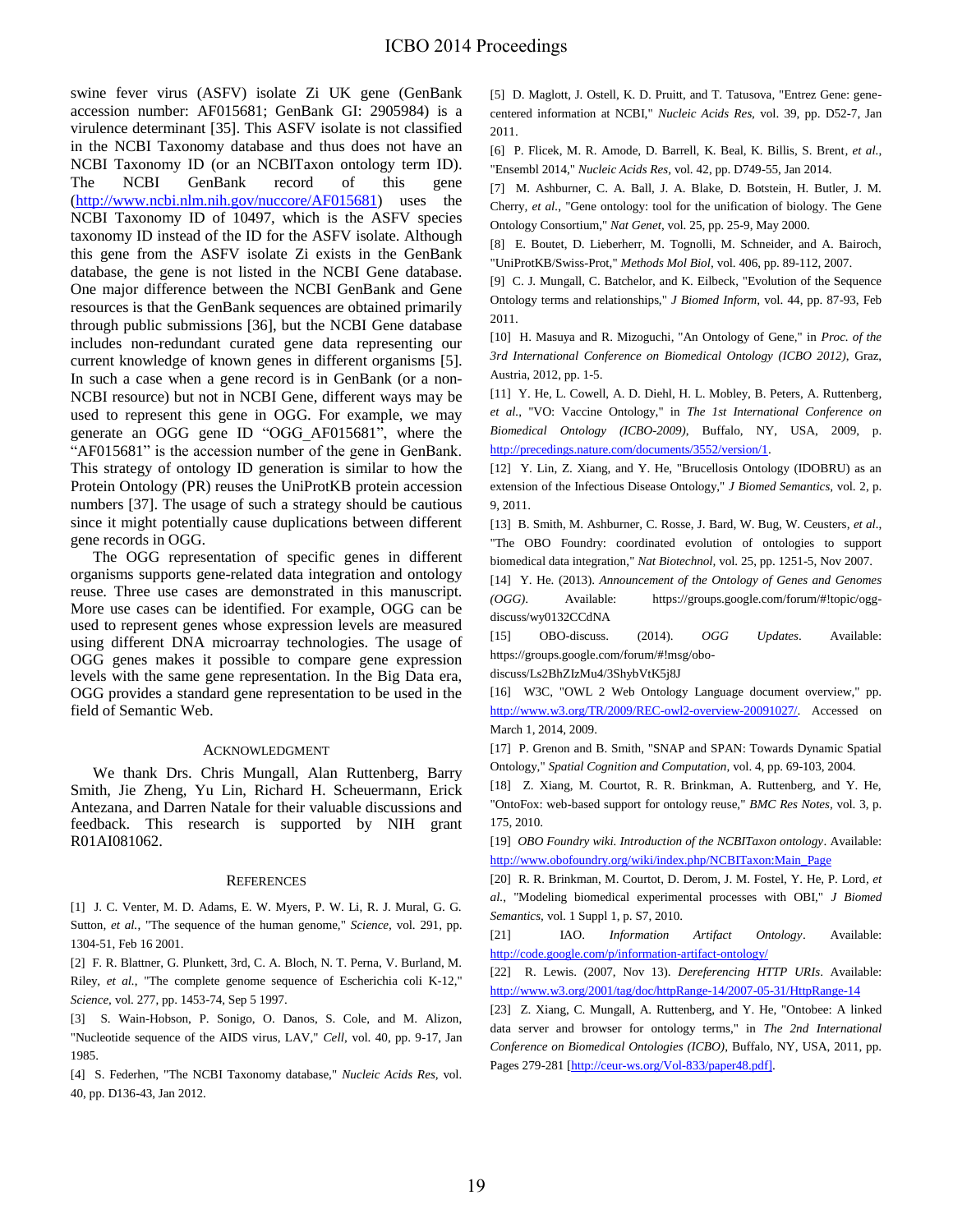swine fever virus (ASFV) isolate Zi UK gene (GenBank accession number: AF015681; GenBank GI: 2905984) is a virulence determinant [\[35\]](#page-7-11). This ASFV isolate is not classified in the NCBI Taxonomy database and thus does not have an NCBI Taxonomy ID (or an NCBITaxon ontology term ID). The NCBI GenBank record of this gene [\(http://www.ncbi.nlm.nih.gov/nuccore/AF015681\)](http://www.ncbi.nlm.nih.gov/nuccore/AF015681) uses the NCBI Taxonomy ID of 10497, which is the ASFV species taxonomy ID instead of the ID for the ASFV isolate. Although this gene from the ASFV isolate Zi exists in the GenBank database, the gene is not listed in the NCBI Gene database. One major difference between the NCBI GenBank and Gene resources is that the GenBank sequences are obtained primarily through public submissions [\[36\]](#page-7-12), but the NCBI Gene database includes non-redundant curated gene data representing our current knowledge of known genes in different organisms [\[5\]](#page-6-4). In such a case when a gene record is in GenBank (or a non-NCBI resource) but not in NCBI Gene, different ways may be used to represent this gene in OGG. For example, we may generate an OGG gene ID "OGG\_AF015681", where the "AF015681" is the accession number of the gene in GenBank. This strategy of ontology ID generation is similar to how the Protein Ontology (PR) reuses the UniProtKB protein accession numbers [\[37\]](#page-7-13). The usage of such a strategy should be cautious since it might potentially cause duplications between different gene records in OGG.

The OGG representation of specific genes in different organisms supports gene-related data integration and ontology reuse. Three use cases are demonstrated in this manuscript. More use cases can be identified. For example, OGG can be used to represent genes whose expression levels are measured using different DNA microarray technologies. The usage of OGG genes makes it possible to compare gene expression levels with the same gene representation. In the Big Data era, OGG provides a standard gene representation to be used in the field of Semantic Web.

## ACKNOWLEDGMENT

We thank Drs. Chris Mungall, Alan Ruttenberg, Barry Smith, Jie Zheng, Yu Lin, Richard H. Scheuermann, Erick Antezana, and Darren Natale for their valuable discussions and feedback. This research is supported by NIH grant R01AI081062.

## **REFERENCES**

<span id="page-6-0"></span>[1] J. C. Venter, M. D. Adams, E. W. Myers, P. W. Li, R. J. Mural, G. G. Sutton*, et al.*, "The sequence of the human genome," *Science,* vol. 291, pp. 1304-51, Feb 16 2001.

<span id="page-6-1"></span>[2] F. R. Blattner, G. Plunkett, 3rd, C. A. Bloch, N. T. Perna, V. Burland, M. Riley*, et al.*, "The complete genome sequence of Escherichia coli K-12," *Science,* vol. 277, pp. 1453-74, Sep 5 1997.

<span id="page-6-2"></span>[3] S. Wain-Hobson, P. Sonigo, O. Danos, S. Cole, and M. Alizon, "Nucleotide sequence of the AIDS virus, LAV," *Cell,* vol. 40, pp. 9-17, Jan 1985.

<span id="page-6-3"></span>[4] S. Federhen, "The NCBI Taxonomy database," *Nucleic Acids Res,* vol. 40, pp. D136-43, Jan 2012.

<span id="page-6-4"></span>[5] D. Maglott, J. Ostell, K. D. Pruitt, and T. Tatusova, "Entrez Gene: genecentered information at NCBI," *Nucleic Acids Res,* vol. 39, pp. D52-7, Jan 2011.

<span id="page-6-5"></span>[6] P. Flicek, M. R. Amode, D. Barrell, K. Beal, K. Billis, S. Brent*, et al.*, "Ensembl 2014," *Nucleic Acids Res,* vol. 42, pp. D749-55, Jan 2014.

<span id="page-6-6"></span>[7] M. Ashburner, C. A. Ball, J. A. Blake, D. Botstein, H. Butler, J. M. Cherry*, et al.*, "Gene ontology: tool for the unification of biology. The Gene Ontology Consortium," *Nat Genet,* vol. 25, pp. 25-9, May 2000.

<span id="page-6-7"></span>[8] E. Boutet, D. Lieberherr, M. Tognolli, M. Schneider, and A. Bairoch, "UniProtKB/Swiss-Prot," *Methods Mol Biol,* vol. 406, pp. 89-112, 2007.

<span id="page-6-8"></span>[9] C. J. Mungall, C. Batchelor, and K. Eilbeck, "Evolution of the Sequence Ontology terms and relationships," *J Biomed Inform,* vol. 44, pp. 87-93, Feb 2011.

<span id="page-6-9"></span>[10] H. Masuya and R. Mizoguchi, "An Ontology of Gene," in *Proc. of the 3rd International Conference on Biomedical Ontology (ICBO 2012)*, Graz, Austria, 2012, pp. 1-5.

<span id="page-6-10"></span>[11] Y. He, L. Cowell, A. D. Diehl, H. L. Mobley, B. Peters, A. Ruttenberg*, et al.*, "VO: Vaccine Ontology," in *The 1st International Conference on Biomedical Ontology (ICBO-2009)*, Buffalo, NY, USA, 2009, p. [http://precedings.nature.com/documents/3552/version/1.](http://precedings.nature.com/documents/3552/version/1) 

<span id="page-6-11"></span>[12] Y. Lin, Z. Xiang, and Y. He, "Brucellosis Ontology (IDOBRU) as an extension of the Infectious Disease Ontology," *J Biomed Semantics,* vol. 2, p. 9, 2011.

<span id="page-6-12"></span>[13] B. Smith, M. Ashburner, C. Rosse, J. Bard, W. Bug, W. Ceusters*, et al.*, "The OBO Foundry: coordinated evolution of ontologies to support biomedical data integration," *Nat Biotechnol,* vol. 25, pp. 1251-5, Nov 2007.

<span id="page-6-13"></span>[14] Y. He. (2013). *Announcement of the Ontology of Genes and Genomes (OGG)*. Available: https://groups.google.com/forum/#!topic/oggdiscuss/wy0132CCdNA

<span id="page-6-14"></span>[15] OBO-discuss. (2014). *OGG Updates*. Available: https://groups.google.com/forum/#!msg/obo-

discuss/Ls2BhZIzMu4/3ShybVtK5j8J

<span id="page-6-15"></span>[16] W3C, "OWL 2 Web Ontology Language document overview," pp. [http://www.w3.org/TR/2009/REC-owl2-overview-20091027/.](http://www.w3.org/TR/2009/REC-owl2-overview-20091027/) Accessed on March 1, 2014, 2009.

<span id="page-6-16"></span>[17] P. Grenon and B. Smith, "SNAP and SPAN: Towards Dynamic Spatial Ontology," *Spatial Cognition and Computation,* vol. 4, pp. 69-103, 2004.

<span id="page-6-17"></span>[18] Z. Xiang, M. Courtot, R. R. Brinkman, A. Ruttenberg, and Y. He, "OntoFox: web-based support for ontology reuse," *BMC Res Notes,* vol. 3, p. 175, 2010.

<span id="page-6-18"></span>[19] *OBO Foundry wiki. Introduction of the NCBITaxon ontology*. Available: [http://www.obofoundry.org/wiki/index.php/NCBITaxon:Main\\_Page](http://www.obofoundry.org/wiki/index.php/NCBITaxon:Main_Page)

<span id="page-6-19"></span>[20] R. R. Brinkman, M. Courtot, D. Derom, J. M. Fostel, Y. He, P. Lord*, et al.*, "Modeling biomedical experimental processes with OBI," *J Biomed Semantics,* vol. 1 Suppl 1, p. S7, 2010.

<span id="page-6-20"></span>[21] IAO. *Information Artifact Ontology*. Available: <http://code.google.com/p/information-artifact-ontology/>

<span id="page-6-22"></span>[23] Z. Xiang, C. Mungall, A. Ruttenberg, and Y. He, "Ontobee: A linked data server and browser for ontology terms," in *The 2nd International Conference on Biomedical Ontologies (ICBO)*, Buffalo, NY, USA, 2011, pp. Pages 279-281 [\[http://ceur-ws.org/Vol-833/paper48.pdf\].](http://ceur-ws.org/Vol-833/paper48.pdf%5d) 

<span id="page-6-21"></span><sup>[22]</sup> R. Lewis. (2007, Nov 13). *Dereferencing HTTP URIs*. Available: <http://www.w3.org/2001/tag/doc/httpRange-14/2007-05-31/HttpRange-14>